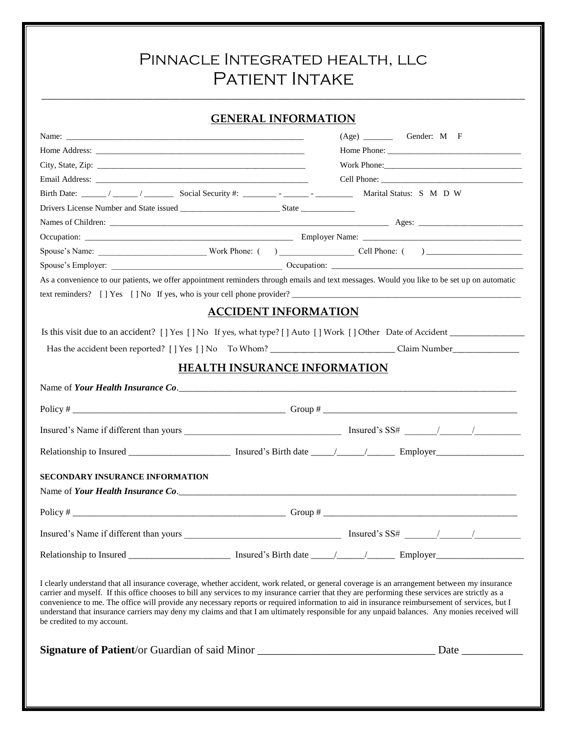# Pinnacle Integrated health, llc PATIENT INTAKE

### **GENERAL INFORMATION**

|                                                                                                                                                                                                                                                                                                                                                                                                                                                                                                                                                                                                                                  | Work Phone:                         |
|----------------------------------------------------------------------------------------------------------------------------------------------------------------------------------------------------------------------------------------------------------------------------------------------------------------------------------------------------------------------------------------------------------------------------------------------------------------------------------------------------------------------------------------------------------------------------------------------------------------------------------|-------------------------------------|
|                                                                                                                                                                                                                                                                                                                                                                                                                                                                                                                                                                                                                                  |                                     |
| Birth Date: _____/ _____/ _______ Social Security #: _______ - _____ - ________                                                                                                                                                                                                                                                                                                                                                                                                                                                                                                                                                  | Marital Status: S M D W             |
|                                                                                                                                                                                                                                                                                                                                                                                                                                                                                                                                                                                                                                  |                                     |
|                                                                                                                                                                                                                                                                                                                                                                                                                                                                                                                                                                                                                                  |                                     |
|                                                                                                                                                                                                                                                                                                                                                                                                                                                                                                                                                                                                                                  |                                     |
|                                                                                                                                                                                                                                                                                                                                                                                                                                                                                                                                                                                                                                  |                                     |
|                                                                                                                                                                                                                                                                                                                                                                                                                                                                                                                                                                                                                                  |                                     |
| As a convenience to our patients, we offer appointment reminders through emails and text messages. Would you like to be set up on automatic                                                                                                                                                                                                                                                                                                                                                                                                                                                                                      |                                     |
|                                                                                                                                                                                                                                                                                                                                                                                                                                                                                                                                                                                                                                  |                                     |
|                                                                                                                                                                                                                                                                                                                                                                                                                                                                                                                                                                                                                                  | <b>ACCIDENT INFORMATION</b>         |
|                                                                                                                                                                                                                                                                                                                                                                                                                                                                                                                                                                                                                                  |                                     |
|                                                                                                                                                                                                                                                                                                                                                                                                                                                                                                                                                                                                                                  |                                     |
|                                                                                                                                                                                                                                                                                                                                                                                                                                                                                                                                                                                                                                  | <b>HEALTH INSURANCE INFORMATION</b> |
|                                                                                                                                                                                                                                                                                                                                                                                                                                                                                                                                                                                                                                  |                                     |
|                                                                                                                                                                                                                                                                                                                                                                                                                                                                                                                                                                                                                                  |                                     |
|                                                                                                                                                                                                                                                                                                                                                                                                                                                                                                                                                                                                                                  |                                     |
|                                                                                                                                                                                                                                                                                                                                                                                                                                                                                                                                                                                                                                  |                                     |
| <b>SECONDARY INSURANCE INFORMATION</b>                                                                                                                                                                                                                                                                                                                                                                                                                                                                                                                                                                                           |                                     |
|                                                                                                                                                                                                                                                                                                                                                                                                                                                                                                                                                                                                                                  |                                     |
|                                                                                                                                                                                                                                                                                                                                                                                                                                                                                                                                                                                                                                  |                                     |
|                                                                                                                                                                                                                                                                                                                                                                                                                                                                                                                                                                                                                                  |                                     |
|                                                                                                                                                                                                                                                                                                                                                                                                                                                                                                                                                                                                                                  |                                     |
|                                                                                                                                                                                                                                                                                                                                                                                                                                                                                                                                                                                                                                  |                                     |
| I clearly understand that all insurance coverage, whether accident, work related, or general coverage is an arrangement between my insurance<br>carrier and myself. If this office chooses to bill any services to my insurance carrier that they are performing these services are strictly as a<br>convenience to me. The office will provide any necessary reports or required information to aid in insurance reimbursement of services, but I<br>understand that insurance carriers may deny my claims and that I am ultimately responsible for any unpaid balances. Any monies received will<br>be credited to my account. |                                     |
| Signature of Patient/or Guardian of said Minor __________________________________ Date _____________                                                                                                                                                                                                                                                                                                                                                                                                                                                                                                                             |                                     |
|                                                                                                                                                                                                                                                                                                                                                                                                                                                                                                                                                                                                                                  |                                     |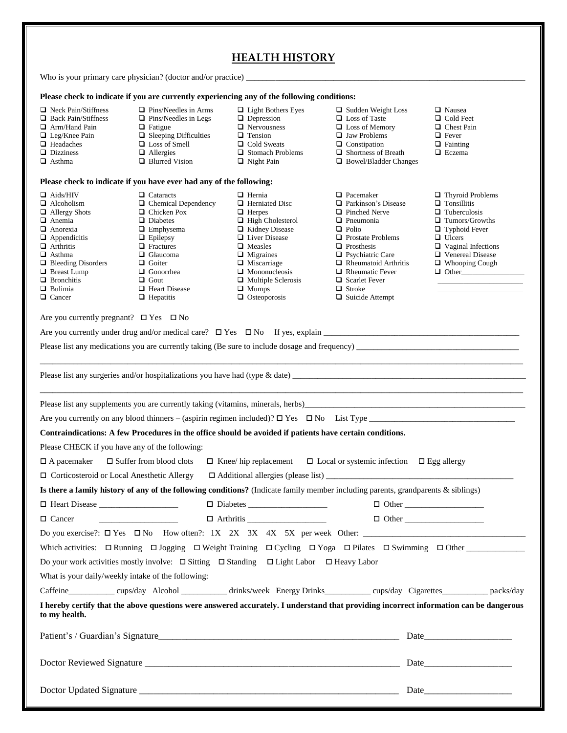|                                                                                                                                                                                                                                                                         |                                                                                                                                                                                                                                                                  | <b>HEALTH HISTORY</b>                                                                                                                                                                                                                                                                |                                                                                                                                                                                                                                                                                                               |                                                                                                                                                                                                                                         |
|-------------------------------------------------------------------------------------------------------------------------------------------------------------------------------------------------------------------------------------------------------------------------|------------------------------------------------------------------------------------------------------------------------------------------------------------------------------------------------------------------------------------------------------------------|--------------------------------------------------------------------------------------------------------------------------------------------------------------------------------------------------------------------------------------------------------------------------------------|---------------------------------------------------------------------------------------------------------------------------------------------------------------------------------------------------------------------------------------------------------------------------------------------------------------|-----------------------------------------------------------------------------------------------------------------------------------------------------------------------------------------------------------------------------------------|
|                                                                                                                                                                                                                                                                         |                                                                                                                                                                                                                                                                  |                                                                                                                                                                                                                                                                                      |                                                                                                                                                                                                                                                                                                               |                                                                                                                                                                                                                                         |
|                                                                                                                                                                                                                                                                         |                                                                                                                                                                                                                                                                  | Please check to indicate if you are currently experiencing any of the following conditions:                                                                                                                                                                                          |                                                                                                                                                                                                                                                                                                               |                                                                                                                                                                                                                                         |
| $\Box$ Neck Pain/Stiffness<br>$\Box$ Back Pain/Stiffness<br>$\Box$ Arm/Hand Pain<br>$\Box$ Leg/Knee Pain<br>$\Box$ Headaches<br>$\Box$ Dizziness<br>$\Box$ Asthma                                                                                                       | $\Box$ Pins/Needles in Arms<br>$\Box$ Pins/Needles in Legs<br>$\Box$ Fatigue<br>$\Box$ Sleeping Difficulties<br>$\Box$ Loss of Smell<br>$\Box$ Allergies<br>$\Box$ Blurred Vision                                                                                | $\Box$ Light Bothers Eyes<br>$\Box$ Depression<br>$\Box$ Nervousness<br>$\Box$ Tension<br>$\Box$ Cold Sweats<br>$\Box$ Stomach Problems<br>$\Box$ Night Pain                                                                                                                         | $\Box$ Sudden Weight Loss<br>□ Loss of Taste<br>$\Box$ Loss of Memory<br>$\Box$ Jaw Problems<br>$\Box$ Constipation<br>$\Box$ Shortness of Breath<br>$\Box$ Bowel/Bladder Changes                                                                                                                             | □ Nausea<br>$\Box$ Cold Feet<br>$\Box$ Chest Pain<br>$\Box$ Fever<br>$\Box$ Fainting<br>$\Box$ Eczema                                                                                                                                   |
| Please check to indicate if you have ever had any of the following:                                                                                                                                                                                                     |                                                                                                                                                                                                                                                                  |                                                                                                                                                                                                                                                                                      |                                                                                                                                                                                                                                                                                                               |                                                                                                                                                                                                                                         |
| $\Box$ Aids/HIV<br>$\Box$ Alcoholism<br>$\Box$ Allergy Shots<br>$\Box$ Anemia<br>$\Box$ Anorexia<br>$\Box$ Appendicitis<br>$\Box$ Arthritis<br>$\Box$ Asthma<br>$\Box$ Bleeding Disorders<br>$\Box$ Breast Lump<br>$\Box$ Bronchitis<br>$\Box$ Bulimia<br>$\Box$ Cancer | $\Box$ Cataracts<br>$\Box$ Chemical Dependency<br>$\Box$ Chicken Pox<br>$\Box$ Diabetes<br>$\Box$ Emphysema<br>$\Box$ Epilepsy<br>$\Box$ Fractures<br>$\Box$ Glaucoma<br>$\Box$ Goiter<br>□ Gonorrhea<br>$\Box$ Gout<br>$\Box$ Heart Disease<br>$\Box$ Hepatitis | $\Box$ Hernia<br>$\Box$ Herniated Disc<br>$\Box$ Herpes<br>$\Box$ High Cholesterol<br>Kidney Disease<br>$\Box$ Liver Disease<br>$\Box$ Measles<br>$\Box$ Migraines<br>$\Box$ Miscarriage<br>$\Box$ Mononucleosis<br>$\Box$ Multiple Sclerosis<br>$\Box$ Mumps<br>$\Box$ Osteoporosis | $\Box$ Pacemaker<br>□ Parkinson's Disease<br>$\Box$ Pinched Nerve<br>$\Box$ Pneumonia<br>$\Box$ Polio<br>$\Box$ Prostate Problems<br>$\Box$ Prosthesis<br>$\Box$ Psychiatric Care<br>$\Box$ Rheumatoid Arthritis<br>$\Box$ Rheumatic Fever<br>$\Box$ Scarlet Fever<br>$\Box$ Stroke<br>$\Box$ Suicide Attempt | $\Box$ Thyroid Problems<br>$\Box$ Tonsillitis<br>$\Box$ Tuberculosis<br>$\Box$ Tumors/Growths<br>$\Box$ Typhoid Fever<br>$\Box$ Ulcers<br>$\Box$ Vaginal Infections<br>$\Box$ Venereal Disease<br>$\Box$ Whooping Cough<br>$\Box$ Other |
| Are you currently pregnant? $\Box$ Yes $\Box$ No                                                                                                                                                                                                                        |                                                                                                                                                                                                                                                                  |                                                                                                                                                                                                                                                                                      |                                                                                                                                                                                                                                                                                                               |                                                                                                                                                                                                                                         |
|                                                                                                                                                                                                                                                                         |                                                                                                                                                                                                                                                                  |                                                                                                                                                                                                                                                                                      |                                                                                                                                                                                                                                                                                                               |                                                                                                                                                                                                                                         |
|                                                                                                                                                                                                                                                                         |                                                                                                                                                                                                                                                                  |                                                                                                                                                                                                                                                                                      |                                                                                                                                                                                                                                                                                                               |                                                                                                                                                                                                                                         |
|                                                                                                                                                                                                                                                                         |                                                                                                                                                                                                                                                                  |                                                                                                                                                                                                                                                                                      |                                                                                                                                                                                                                                                                                                               |                                                                                                                                                                                                                                         |
|                                                                                                                                                                                                                                                                         |                                                                                                                                                                                                                                                                  |                                                                                                                                                                                                                                                                                      |                                                                                                                                                                                                                                                                                                               |                                                                                                                                                                                                                                         |
|                                                                                                                                                                                                                                                                         |                                                                                                                                                                                                                                                                  |                                                                                                                                                                                                                                                                                      |                                                                                                                                                                                                                                                                                                               |                                                                                                                                                                                                                                         |
|                                                                                                                                                                                                                                                                         |                                                                                                                                                                                                                                                                  |                                                                                                                                                                                                                                                                                      |                                                                                                                                                                                                                                                                                                               |                                                                                                                                                                                                                                         |
|                                                                                                                                                                                                                                                                         |                                                                                                                                                                                                                                                                  | Contraindications: A few Procedures in the office should be avoided if patients have certain conditions.                                                                                                                                                                             |                                                                                                                                                                                                                                                                                                               |                                                                                                                                                                                                                                         |
| Please CHECK if you have any of the following:                                                                                                                                                                                                                          |                                                                                                                                                                                                                                                                  |                                                                                                                                                                                                                                                                                      |                                                                                                                                                                                                                                                                                                               |                                                                                                                                                                                                                                         |
| $\Box$ A pacemaker                                                                                                                                                                                                                                                      | $\square$ Suffer from blood clots                                                                                                                                                                                                                                |                                                                                                                                                                                                                                                                                      | $\Box$ Knee/hip replacement $\Box$ Local or systemic infection $\Box$ Egg allergy                                                                                                                                                                                                                             |                                                                                                                                                                                                                                         |
| □ Corticosteroid or Local Anesthetic Allergy                                                                                                                                                                                                                            |                                                                                                                                                                                                                                                                  |                                                                                                                                                                                                                                                                                      |                                                                                                                                                                                                                                                                                                               |                                                                                                                                                                                                                                         |
|                                                                                                                                                                                                                                                                         |                                                                                                                                                                                                                                                                  |                                                                                                                                                                                                                                                                                      | Is there a family history of any of the following conditions? (Indicate family member including parents, grandparents & siblings)                                                                                                                                                                             |                                                                                                                                                                                                                                         |
| $\Box$ Heart Disease $\_\_\_\_\_\_\_\_\_\_\_\_\_\_\_\_\_\_\_\_\_\_\_\_\_\_\_\_\_$                                                                                                                                                                                       |                                                                                                                                                                                                                                                                  |                                                                                                                                                                                                                                                                                      |                                                                                                                                                                                                                                                                                                               |                                                                                                                                                                                                                                         |
| $\Box$ Cancer                                                                                                                                                                                                                                                           |                                                                                                                                                                                                                                                                  |                                                                                                                                                                                                                                                                                      |                                                                                                                                                                                                                                                                                                               | $\Box$ Other                                                                                                                                                                                                                            |
|                                                                                                                                                                                                                                                                         |                                                                                                                                                                                                                                                                  |                                                                                                                                                                                                                                                                                      |                                                                                                                                                                                                                                                                                                               |                                                                                                                                                                                                                                         |
|                                                                                                                                                                                                                                                                         |                                                                                                                                                                                                                                                                  |                                                                                                                                                                                                                                                                                      |                                                                                                                                                                                                                                                                                                               |                                                                                                                                                                                                                                         |
|                                                                                                                                                                                                                                                                         |                                                                                                                                                                                                                                                                  | Do your work activities mostly involve: $\Box$ Sitting $\Box$ Standing $\Box$ Light Labor $\Box$ Heavy Labor                                                                                                                                                                         |                                                                                                                                                                                                                                                                                                               |                                                                                                                                                                                                                                         |
| What is your daily/weekly intake of the following:                                                                                                                                                                                                                      |                                                                                                                                                                                                                                                                  |                                                                                                                                                                                                                                                                                      |                                                                                                                                                                                                                                                                                                               |                                                                                                                                                                                                                                         |
|                                                                                                                                                                                                                                                                         |                                                                                                                                                                                                                                                                  |                                                                                                                                                                                                                                                                                      | Caffeine_____________ cups/day Alcohol ___________ drinks/week Energy Drinks__________ cups/day Cigarettes__________ packs/day                                                                                                                                                                                |                                                                                                                                                                                                                                         |
| to my health.                                                                                                                                                                                                                                                           |                                                                                                                                                                                                                                                                  |                                                                                                                                                                                                                                                                                      | I hereby certify that the above questions were answered accurately. I understand that providing incorrect information can be dangerous                                                                                                                                                                        |                                                                                                                                                                                                                                         |
|                                                                                                                                                                                                                                                                         |                                                                                                                                                                                                                                                                  |                                                                                                                                                                                                                                                                                      |                                                                                                                                                                                                                                                                                                               | Date                                                                                                                                                                                                                                    |
|                                                                                                                                                                                                                                                                         |                                                                                                                                                                                                                                                                  |                                                                                                                                                                                                                                                                                      |                                                                                                                                                                                                                                                                                                               |                                                                                                                                                                                                                                         |
|                                                                                                                                                                                                                                                                         |                                                                                                                                                                                                                                                                  |                                                                                                                                                                                                                                                                                      |                                                                                                                                                                                                                                                                                                               |                                                                                                                                                                                                                                         |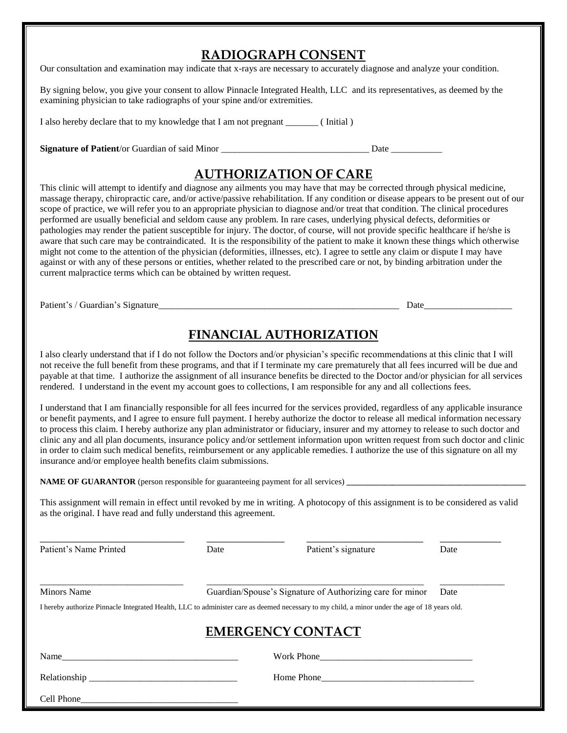# **RADIOGRAPH CONSENT**

Our consultation and examination may indicate that x-rays are necessary to accurately diagnose and analyze your condition.

By signing below, you give your consent to allow Pinnacle Integrated Health, LLC and its representatives, as deemed by the examining physician to take radiographs of your spine and/or extremities.

I also hereby declare that to my knowledge that I am not pregnant (Initial)

Signature of Patient/or Guardian of said Minor \_\_\_\_\_\_\_\_\_\_\_\_\_\_\_\_\_\_\_\_\_\_\_\_\_\_\_\_\_\_\_\_\_\_ Date \_\_\_\_\_\_\_\_\_\_\_\_\_\_\_\_\_\_\_\_\_\_\_

# **AUTHORIZATION OF CARE**

This clinic will attempt to identify and diagnose any ailments you may have that may be corrected through physical medicine, massage therapy, chiropractic care, and/or active/passive rehabilitation. If any condition or disease appears to be present out of our scope of practice, we will refer you to an appropriate physician to diagnose and/or treat that condition. The clinical procedures performed are usually beneficial and seldom cause any problem. In rare cases, underlying physical defects, deformities or pathologies may render the patient susceptible for injury. The doctor, of course, will not provide specific healthcare if he/she is aware that such care may be contraindicated. It is the responsibility of the patient to make it known these things which otherwise might not come to the attention of the physician (deformities, illnesses, etc). I agree to settle any claim or dispute I may have against or with any of these persons or entities, whether related to the prescribed care or not, by binding arbitration under the current malpractice terms which can be obtained by written request.

Patient's / Guardian's Signature\_\_\_\_\_\_\_\_\_\_\_\_\_\_\_\_\_\_\_\_\_\_\_\_\_\_\_\_\_\_\_\_\_\_\_\_\_\_\_\_\_\_\_\_\_\_\_\_\_\_\_\_ Date\_\_\_\_\_\_\_\_\_\_\_\_\_\_\_\_\_\_\_

# **FINANCIAL AUTHORIZATION**

I also clearly understand that if I do not follow the Doctors and/or physician's specific recommendations at this clinic that I will not receive the full benefit from these programs, and that if I terminate my care prematurely that all fees incurred will be due and payable at that time. I authorize the assignment of all insurance benefits be directed to the Doctor and/or physician for all services rendered. I understand in the event my account goes to collections, I am responsible for any and all collections fees.

I understand that I am financially responsible for all fees incurred for the services provided, regardless of any applicable insurance or benefit payments, and I agree to ensure full payment. I hereby authorize the doctor to release all medical information necessary to process this claim. I hereby authorize any plan administrator or fiduciary, insurer and my attorney to release to such doctor and clinic any and all plan documents, insurance policy and/or settlement information upon written request from such doctor and clinic in order to claim such medical benefits, reimbursement or any applicable remedies. I authorize the use of this signature on all my insurance and/or employee health benefits claim submissions.

**NAME OF GUARANTOR** (person responsible for guaranteeing payment for all services) **\_\_\_\_\_\_\_\_\_\_\_\_\_\_** 

This assignment will remain in effect until revoked by me in writing. A photocopy of this assignment is to be considered as valid as the original. I have read and fully understand this agreement.

| Patient's Name Printed | Date                                                      | Patient's signature                                                                                                                           | Date |
|------------------------|-----------------------------------------------------------|-----------------------------------------------------------------------------------------------------------------------------------------------|------|
| <b>Minors Name</b>     | Guardian/Spouse's Signature of Authorizing care for minor |                                                                                                                                               |      |
|                        |                                                           | I hereby authorize Pinnacle Integrated Health, LLC to administer care as deemed necessary to my child, a minor under the age of 18 years old. |      |
|                        |                                                           | <b>EMERGENCY CONTACT</b>                                                                                                                      |      |
| Name                   |                                                           | Work Phone                                                                                                                                    |      |
|                        |                                                           |                                                                                                                                               |      |
| Cell Phone             |                                                           |                                                                                                                                               |      |